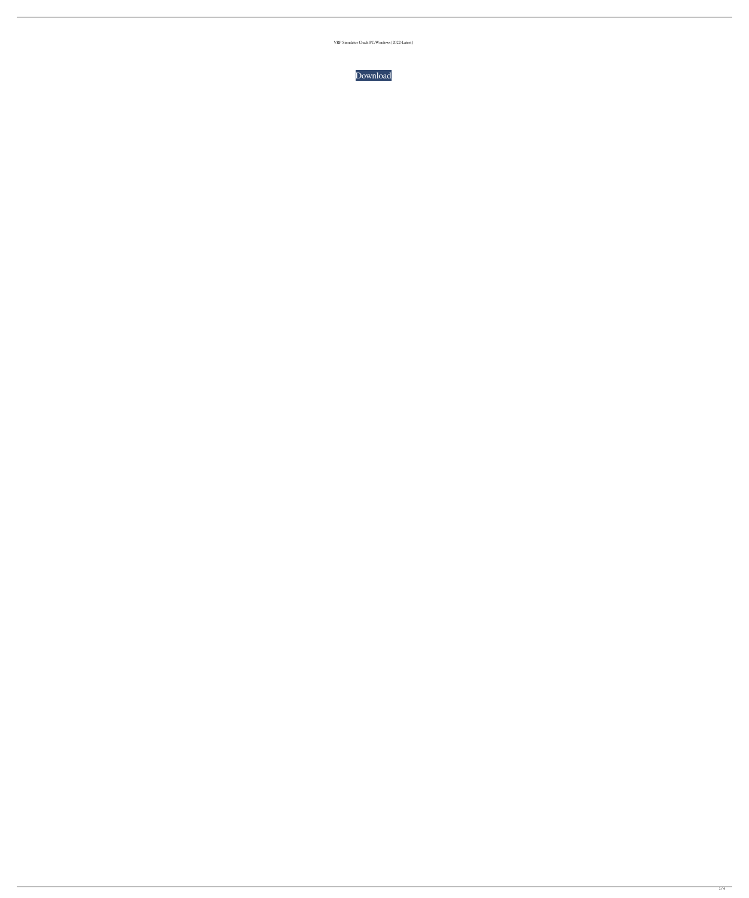VRP Simulator Crack PC/Windows [2022-Latest]

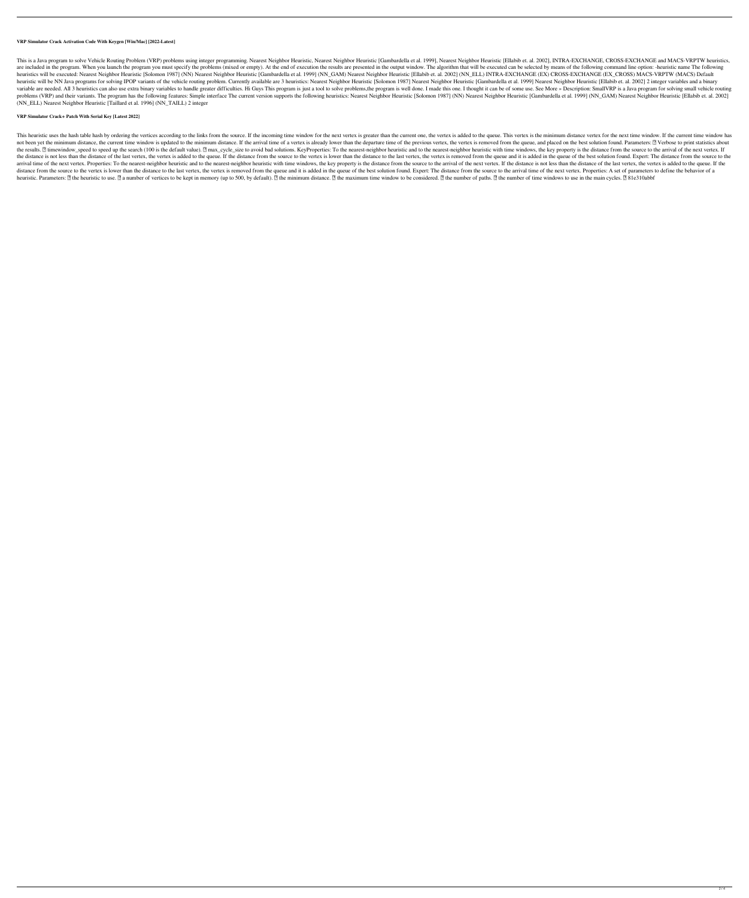### **VRP Simulator Crack Activation Code With Keygen [Win/Mac] [2022-Latest]**

This is a Java program to solve Vehicle Routing Problem (VRP) problems using integer programming. Nearest Neighbor Heuristic, Nearest Neighbor Heuristic [Gambardella et al. 1999], Nearest Neighbor Heuristic [Ellabib et. al are included in the program. When you launch the program you must specify the problems (mixed or empty). At the end of execution the results are presented in the output window. The algorithm that will be executed can be se heuristics will be executed: Nearest Neighbor Heuristic [Solomon 1987] (NN) Nearest Neighbor Heuristic [Gambardella et al. 1999] (NN\_GAM) Nearest Neighbor Heuristic [Ellabib et. al. 2002] (NN\_ELL) INTRA-EXCHANGE (EX) CROSS heuristic will be NN Java programs for solving IPOP variants of the vehicle routing problem. Currently available are 3 heuristics: Nearest Neighbor Heuristic [Solomon 1987] Nearest Neighbor Heuristic [Gambardella et al. 19 variable are needed. All 3 heuristics can also use extra binary variables to handle greater difficulties. Hi Guys This program is just a tool to solve problems, the program is well done. I made this one. I thought it can b problems (VRP) and their variants. The program has the following features: Simple interface The current version supports the following heuristics: Nearest Neighbor Heuristic [Solomon 1987] (NN) Nearest Neighbor Heuristic [ (NN\_ELL) Nearest Neighbor Heuristic [Taillard et al. 1996] (NN\_TAILL) 2 integer

# **VRP Simulator Crack+ Patch With Serial Key [Latest 2022]**

This heuristic uses the hash table hash by ordering the vertices according to the links from the source. If the incoming time window for the next vertex is greater than the current one, the vertex is added to the queue. Th not been yet the minimum distance, the current time window is updated to the minimum distance. If the arrival time of a vertex is already lower than the departure time of the previous vertex, the vertex is removed from the the results. If timewindow\_speed to speed up the search (100 is the default value). If max\_cycle\_size to avoid bad solutions. KeyProperties: To the nearest-neighbor heuristic and to the nearest-neighbor heuristic with time the distance is not less than the distance of the last vertex, the vertex is added to the queue. If the distance from the source to the vertex is lower than the distance to the last vertex, the vertex is removed from the q arrival time of the next vertex. Properties: To the nearest-neighbor heuristic and to the nearest-neighbor heuristic with time windows, the key property is the distance from the source to the arrival of the next vertex. If distance from the source to the vertex is lower than the distance to the last vertex, the vertex, the vertex is removed from the queue and it is added in the queue of the best solution found. Expert: The distance from the heuristic. Parameters: [] the heuristic to use. [] a number of vertices to be kept in memory (up to 500, by default). [] the minimum distance. [] the maximum time window to be considered. [] the number of paths. [] the num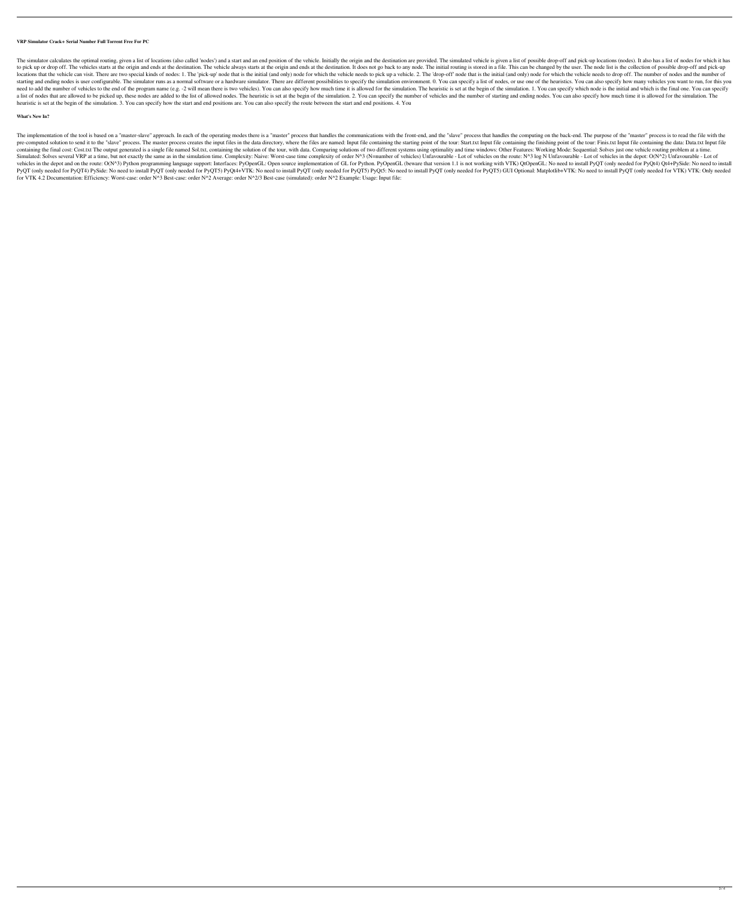### **VRP Simulator Crack+ Serial Number Full Torrent Free For PC**

The simulator calculates the optimal routing, given a list of locations (also called 'nodes') and a start and an end position of the vehicle. Initially the origin and the destination are provided. The simulated vehicle is to pick up or drop off. The vehicles starts at the origin and ends at the destination. The vehicle always starts at the origin and ends at the destination. It does not go back to any node. The initial routing is stored in locations that the vehicle can visit. There are two special kinds of nodes: 1. The 'pick-up' node that is the initial (and only) node for which the vehicle needs to pick up a vehicle. 2. The 'drop-off' node that is the ini starting and ending nodes is user configurable. The simulator runs as a normal software or a hardware simulator. There are different possibilities to specify the simulation environment. 0. You can specify a list of nodes, need to add the number of vehicles to the end of the program name (e.g. -2 will mean there is two vehicles). You can also specify how much time it is allowed for the simulation. The heuristic is set at the begin of the sim a list of nodes that are allowed to be picked up, these nodes are added to the list of allowed nodes. The heuristic is set at the begin of the simulation. 2. You can specify the number of starting and ending nodes. You can heuristic is set at the begin of the simulation. 3. You can specify how the start and end positions are. You can also specify the route between the start and end positions. 4. You

# **What's New In?**

The implementation of the tool is based on a "master-slave" approach. In each of the operating modes there is a "master" process that handles the communications with the front-end, and the "slave" process that handles the pre-computed solution to send it to the "slave" process. The master process creates the input files in the data directory, where the files are named: Input file containing the starting point of the tour: Start.txt Input fi containing the final cost: Cost.txt The output generated is a single file named Sol.txt, containing the solution of the tour, with data. Comparing solutions of two different systems using optimality and time windows: Other Simulated: Solves several VRP at a time, but not exactly the same as in the simulation time. Complexity: Naive: Worst-case time complexity of order N^3 (N=number of vehicles) Unfavourable - Lot of vehicles on the route: N^ vehicles in the depot and on the route: O(N^3) Python programming language support: Interfaces: PyOpenGL: Open source implementation of GL for Python. PyOpenGL (beware that version 1.1 is not working with VTK) QtOpenGL: No PyQT (only needed for PyQT4) PySide: No need to install PyQT (only needed for PyQT5) PyQt4+VTK: No need to install PyQT (only needed for PyQT5) GUI Optional: Matplotlib+VTK: No need to install PyQT (only needed for VTK) VT for VTK 4.2 Documentation: Efficiency: Worst-case: order N^3 Best-case: order N^2 Average: order N^2/3 Best-case (simulated): order N^2 Example: Usage: Input file: